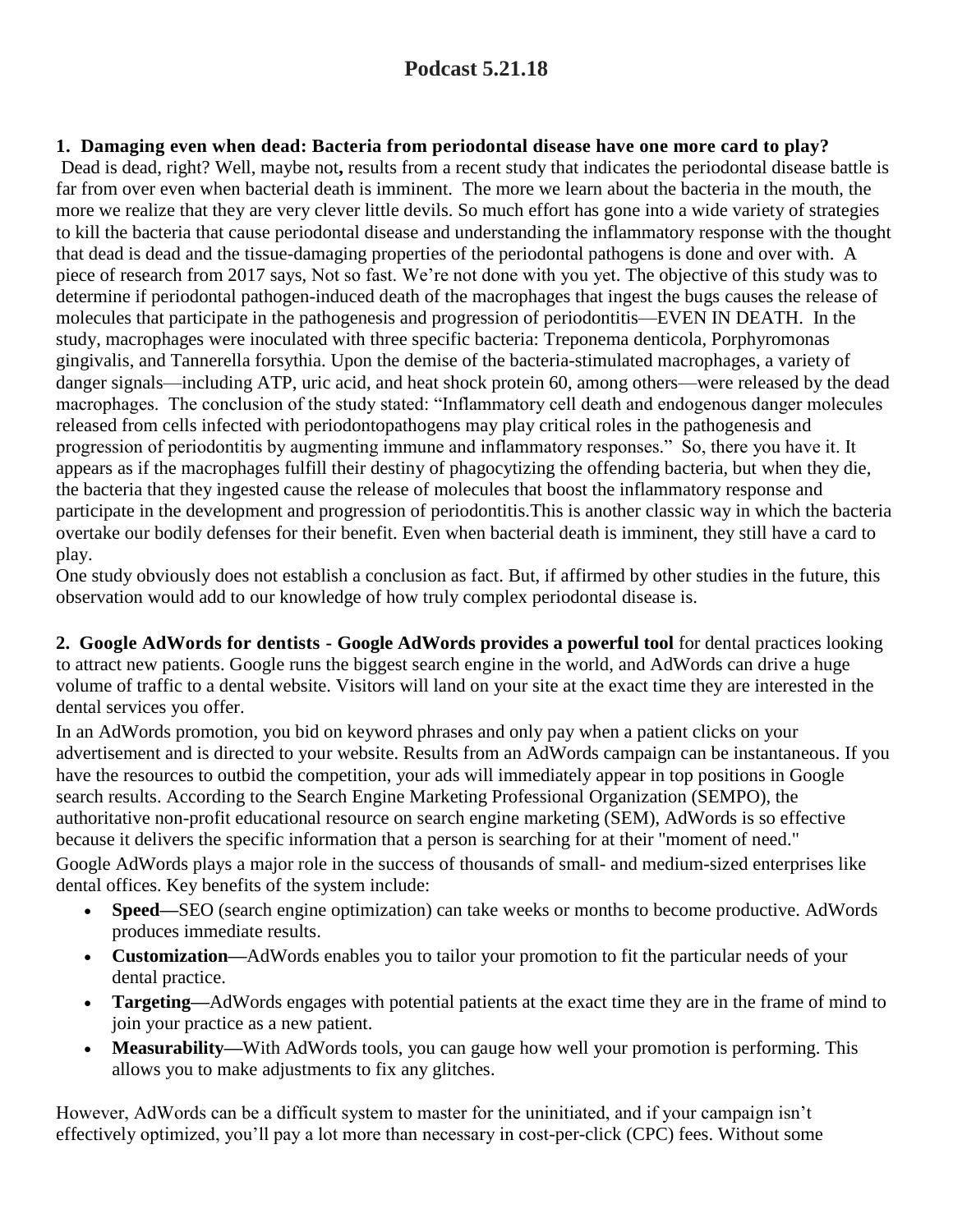# **Podcast 5.21.18**

# **1. Damaging even when dead: Bacteria from periodontal disease have one more card to play?**

Dead is dead, right? Well, maybe not**,** results from a recent study that indicates the periodontal disease battle is far from over even when bacterial death is imminent. The more we learn about the [bacteria](https://www.dentistryiq.com/articles/2018/02/research-points-to-associations-between-periodontal-pathogens-and-colorectal-cancer.html) in the mouth, the more we realize that they are very clever little devils. So much effort has gone into a wide variety of strategies to kill the bacteria that cause [periodontal](https://www.dentistryiq.com/articles/2017/10/periodontal-disease-and-atherosclerosis-strengthening-the-oral-systemic-link.html) disease and understanding the inflammatory response with the thought that dead is dead and the tissue-damaging properties of the periodontal pathogens is done and over with. A piece of research from 2017 says, Not so fast. We're not done with you yet. The objective of this study was to determine if periodontal pathogen-induced death of the macrophages that ingest the bugs causes the release of molecules that participate in the pathogenesis and progression of periodontitis—EVEN IN DEATH. In the study, macrophages were inoculated with three specific bacteria: Treponema denticola, Porphyromonas gingivalis, and Tannerella forsythia. Upon the demise of the bacteria-stimulated macrophages, a variety of danger signals—including ATP, uric acid, and heat shock protein 60, among others—were released by the dead macrophages. The conclusion of the study stated: "Inflammatory cell death and endogenous danger molecules released from cells infected with periodontopathogens may play critical roles in the pathogenesis and progression of periodontitis by augmenting immune and inflammatory responses." So, there you have it. It appears as if the macrophages fulfill their destiny of phagocytizing the offending bacteria, but when they die, the bacteria that they ingested cause the release of molecules that boost the inflammatory response and participate in the development and progression of periodontitis.This is another classic way in which the bacteria overtake our bodily defenses for their benefit. Even when bacterial death is imminent, they still have a card to play.

One study obviously does not establish a conclusion as fact. But, if affirmed by other studies in the future, this observation would add to our knowledge of how truly complex periodontal disease is.

**2. Google AdWords for dentists - Google AdWords provides a powerful tool** for dental practices looking to attract new patients. Google runs the biggest search engine in the world, and AdWords can drive a huge volume of traffic to a dental website. Visitors will land on your site at the exact time they are interested in the dental services you offer.

In an AdWords promotion, you bid on keyword phrases and only pay when a patient clicks on your advertisement and is directed to your website. Results from an AdWords campaign can be instantaneous. If you have the resources to outbid the competition, your ads will immediately appear in top positions in Google search results. According to the Search Engine Marketing Professional Organization (SEMPO), the authoritative non-profit educational resource on search engine marketing (SEM), AdWords is so effective because it delivers the specific information that a person is searching for at their "moment of need."

Google AdWords plays a major role in the success of thousands of small- and medium-sized enterprises like dental offices. Key benefits of the system include:

- **Speed—SEO** (search engine optimization) can take weeks or months to become productive. AdWords produces immediate results.
- **Customization—**AdWords enables you to tailor your promotion to fit the particular needs of your dental practice.
- **Targeting—**AdWords engages with potential patients at the exact time they are in the frame of mind to join your practice as a new patient.
- **Measurability—**With AdWords tools, you can gauge how well your promotion is performing. This allows you to make adjustments to fix any glitches.

However, AdWords can be a difficult system to master for the uninitiated, and if your campaign isn't effectively optimized, you'll pay a lot more than necessary in cost-per-click (CPC) fees. Without some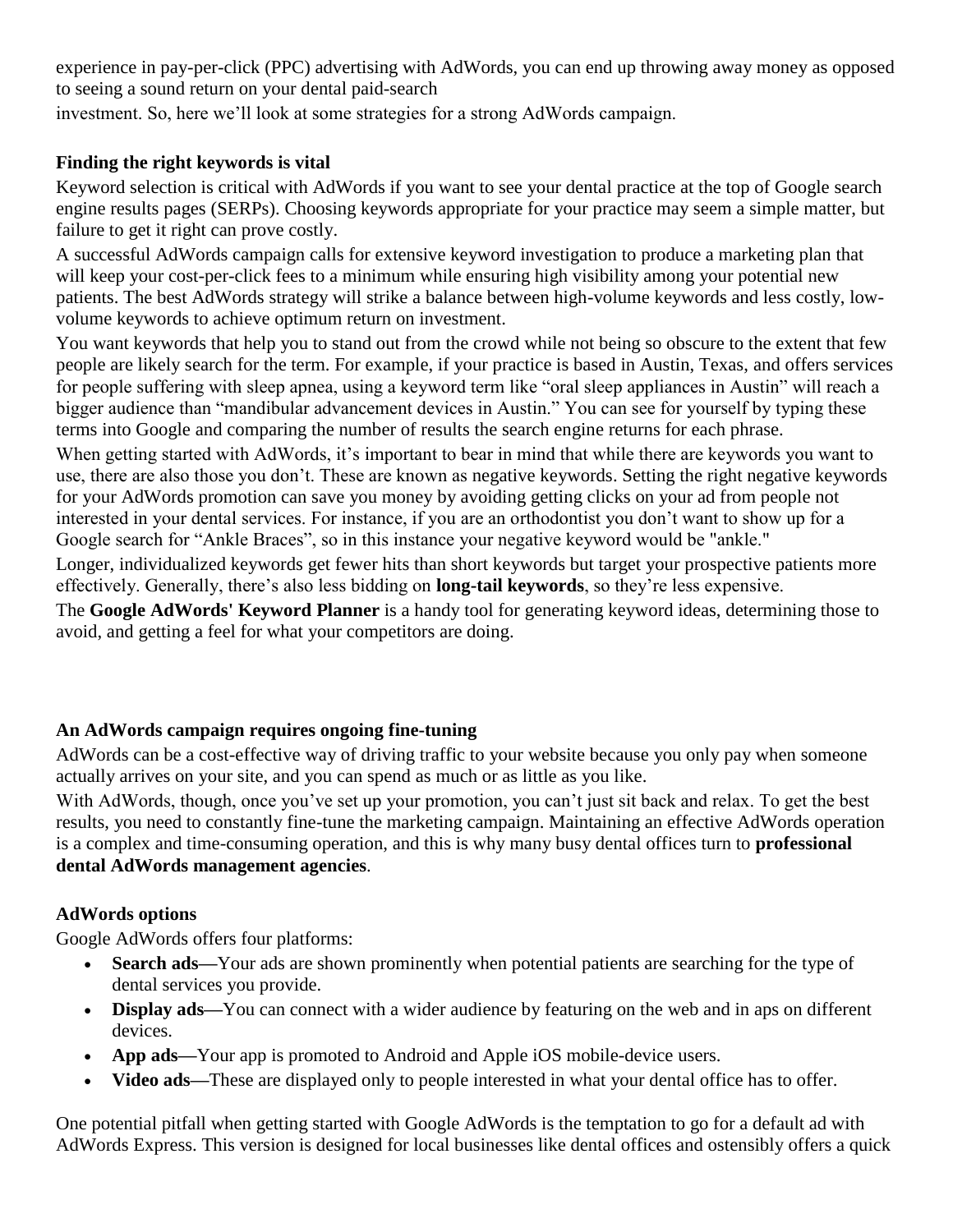experience in pay-per-click (PPC) advertising with AdWords, you can end up throwing away money as opposed to seeing a sound return on your dental [paid-search](https://www.dentalroi.com/Content/Page/PPC-Paid-Search)

investment. So, here we'll look at some strategies for a strong AdWords campaign.

# **Finding the right keywords is vital**

Keyword selection is critical with AdWords if you want to see your dental practice at the top of Google search engine results pages (SERPs). Choosing keywords appropriate for your practice may seem a simple matter, but failure to get it right can prove costly.

A successful AdWords campaign calls for extensive keyword investigation to produce a marketing plan that will keep your cost-per-click fees to a minimum while ensuring high visibility among your potential new patients. The best AdWords strategy will strike a balance between high-volume keywords and less costly, lowvolume keywords to achieve optimum return on investment.

You want keywords that help you to stand out from the crowd while not being so obscure to the extent that few people are likely search for the term. For example, if your practice is based in Austin, Texas, and offers services for people suffering with sleep apnea, using a keyword term like "oral sleep appliances in Austin" will reach a bigger audience than "mandibular advancement devices in Austin." You can see for yourself by typing these terms into Google and comparing the number of results the search engine returns for each phrase.

When getting started with AdWords, it's important to bear in mind that while there are keywords you want to use, there are also those you don't. These are known as negative keywords. Setting the right negative keywords for your AdWords promotion can save you money by avoiding getting clicks on your ad from people not interested in your dental services. For instance, if you are an orthodontist you don't want to show up for a Google search for "Ankle Braces", so in this instance your negative keyword would be "ankle."

Longer, individualized keywords get fewer hits than short keywords but target your prospective patients more effectively. Generally, there's also less bidding on **long-tail [keywords](https://www.quora.com/What-is-the-difference-between-long-tail-keywords-and-short-tail-keywords)**, so they're less expensive.

The **Google [AdWords'](http://www.adwords.google.com/home/tools/keyword-planner) Keyword Planner** is a handy tool for generating keyword ideas, determining those to avoid, and getting a feel for what your competitors are doing.

# **An AdWords campaign requires ongoing fine-tuning**

AdWords can be a cost-effective way of driving traffic to your website because you only pay when someone actually arrives on your site, and you can spend as much or as little as you like.

With AdWords, though, once you've set up your promotion, you can't just sit back and relax. To get the best results, you need to constantly fine-tune the marketing campaign. Maintaining an effective AdWords operation is a complex and time-consuming operation, and this is why many busy dental offices turn to **[professional](https://www.dentalroi.com/Content/Page/PPC-Paid-Search) dental AdWords [management](https://www.dentalroi.com/Content/Page/PPC-Paid-Search) agencies**.

# **AdWords options**

Google AdWords offers four platforms:

- **Search ads—Your** ads are shown prominently when potential patients are searching for the type of dental services you provide.
- **Display ads—**You can connect with a wider audience by featuring on the web and in aps on different devices.
- **App ads—**Your app is promoted to Android and Apple iOS mobile-device users.
- **Video ads—These are displayed only to people interested in what your dental office has to offer.**

One potential pitfall when getting started with Google AdWords is the temptation to go for a default ad with AdWords Express. This version is designed for local businesses like dental offices and ostensibly offers a quick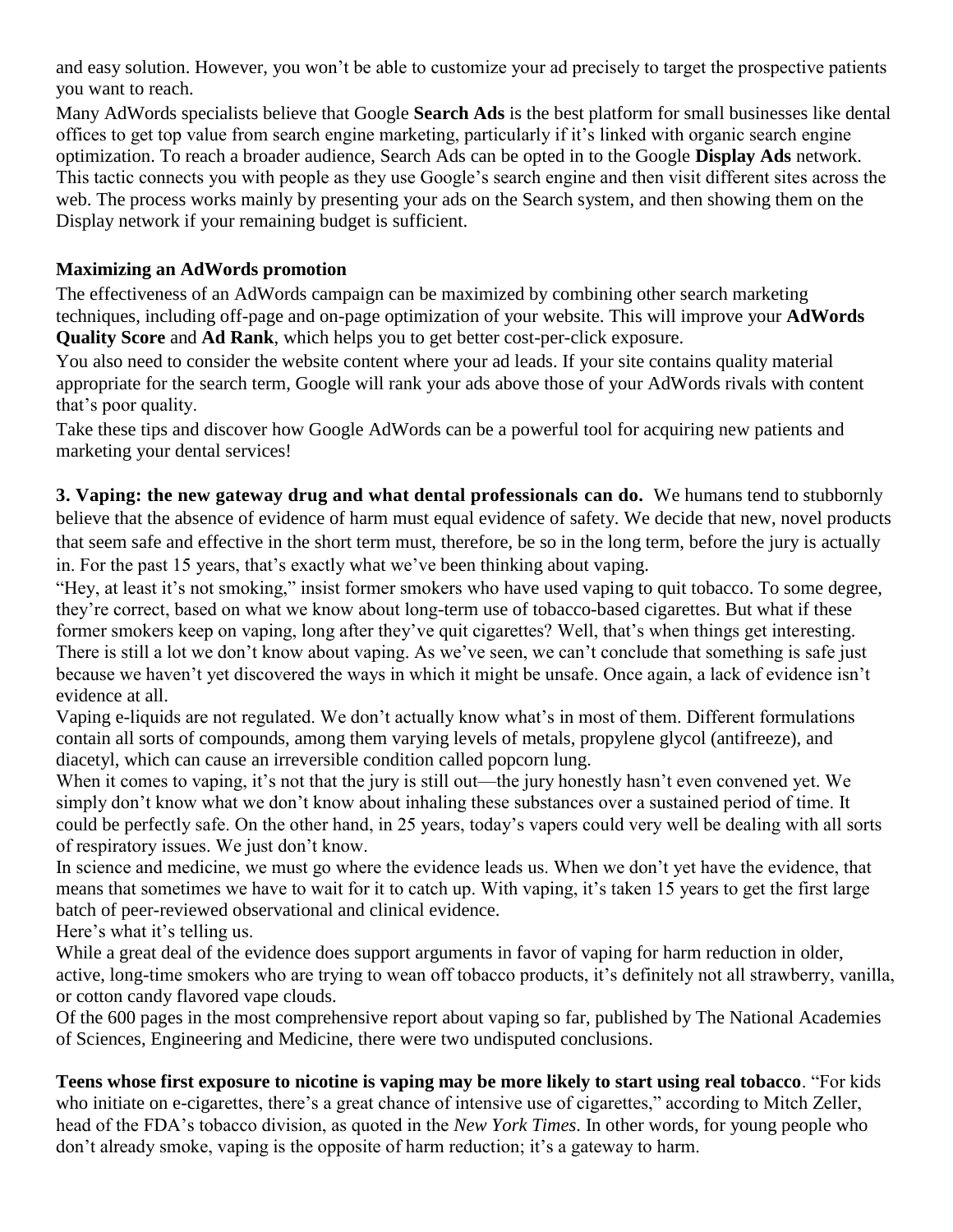and easy solution. However, you won't be able to customize your ad precisely to target the prospective patients you want to reach.

Many AdWords specialists believe that Google **[Search](https://adwords.google.com/home/how-it-works/search-ads/#?modal_active=none) Ads** is the best platform for small businesses like dental offices to get top value from search engine marketing, particularly if it's linked with organic search engine optimization. To reach a broader audience, Search Ads can be opted in to the Google **[Display](https://adwords.google.com/home/how-it-works/display-ads/#?modal_active=none) Ads** network. This tactic connects you with people as they use Google's search engine and then visit different sites across the web. The process works mainly by presenting your ads on the Search system, and then showing them on the Display network if your remaining budget is sufficient.

## **Maximizing an AdWords promotion**

The effectiveness of an AdWords campaign can be maximized by combining other search marketing techniques, including off-page and on-page optimization of your website. This will improve your **[AdWords](https://support.google.com/adwords/answer/7050591) [Quality](https://support.google.com/adwords/answer/7050591) Score** and **Ad [Rank](https://support.google.com/adwords/answer/1722122)**, which helps you to get better cost-per-click exposure.

You also need to consider the website content where your ad leads. If your site contains quality material appropriate for the search term, Google will rank your ads above those of your AdWords rivals with content that's poor quality.

Take these tips and discover how Google AdWords can be a powerful tool for acquiring new patients and marketing your dental services!

**3. Vaping: the new gateway drug and what dental professionals can do.** We humans tend to stubbornly believe that the absence of evidence of harm must equal evidence of safety. We decide that new, novel products that seem safe and effective in the short term must, therefore, be so in the long term, before the jury is actually in. For the past 15 years, that's exactly what we've been [thinking](http://www.dentistryiq.com/articles/2016/08/how-to-help-your-patients-quit-vaping.html) about vaping.

"Hey, at least it's not smoking," insist former smokers who have used vaping to quit tobacco. To some degree, they're correct, based on what we know about long-term use of tobacco-based cigarettes. But what if these former smokers keep on vaping, long after they've quit cigarettes? Well, that's when things get interesting. There is still a lot we don't know about vaping. As we've seen, we can't conclude that something is safe just because we haven't yet discovered the ways in which it might be unsafe. Once again, a lack of evidence isn't evidence at all.

Vaping e-liquids are not regulated. We don't actually know what's in most of them. Different formulations contain all sorts of compounds, among them varying levels of metals, propylene glycol (antifreeze), and diacetyl, which can cause an irreversible condition called popcorn lung.

When it comes to vaping, it's not that the jury is still out—the jury honestly hasn't even convened yet. We simply don't know what we don't know about inhaling these substances over a sustained period of time. It could be perfectly safe. On the other hand, in 25 years, today's vapers could very well be dealing with all sorts of respiratory issues. We just don't know.

In science and medicine, we must go where the evidence leads us. When we don't yet have the evidence, that means that sometimes we have to wait for it to catch up. With vaping, it's taken 15 years to get the first large batch of peer-reviewed observational and clinical evidence.

Here's what it's telling us.

While a great deal of the evidence does support arguments in favor of vaping for harm reduction in older, active, long-time smokers who are trying to wean off tobacco products, it's definitely not all strawberry, vanilla, or cotton candy flavored vape clouds.

Of the 600 pages in the most comprehensive report about vaping so far, published by The National Academies of Sciences, Engineering and Medicine, there were two undisputed conclusions.

**Teens whose first exposure to nicotine is vaping may be more likely to start using real tobacco**. "For kids who initiate on e-cigarettes, there's a great chance of intensive use of cigarettes," according to Mitch Zeller, head of the FDA's tobacco division, as quoted in the *New York Times*. In other words, for young people who don't already smoke, vaping is the opposite of harm reduction; it's a gateway to harm.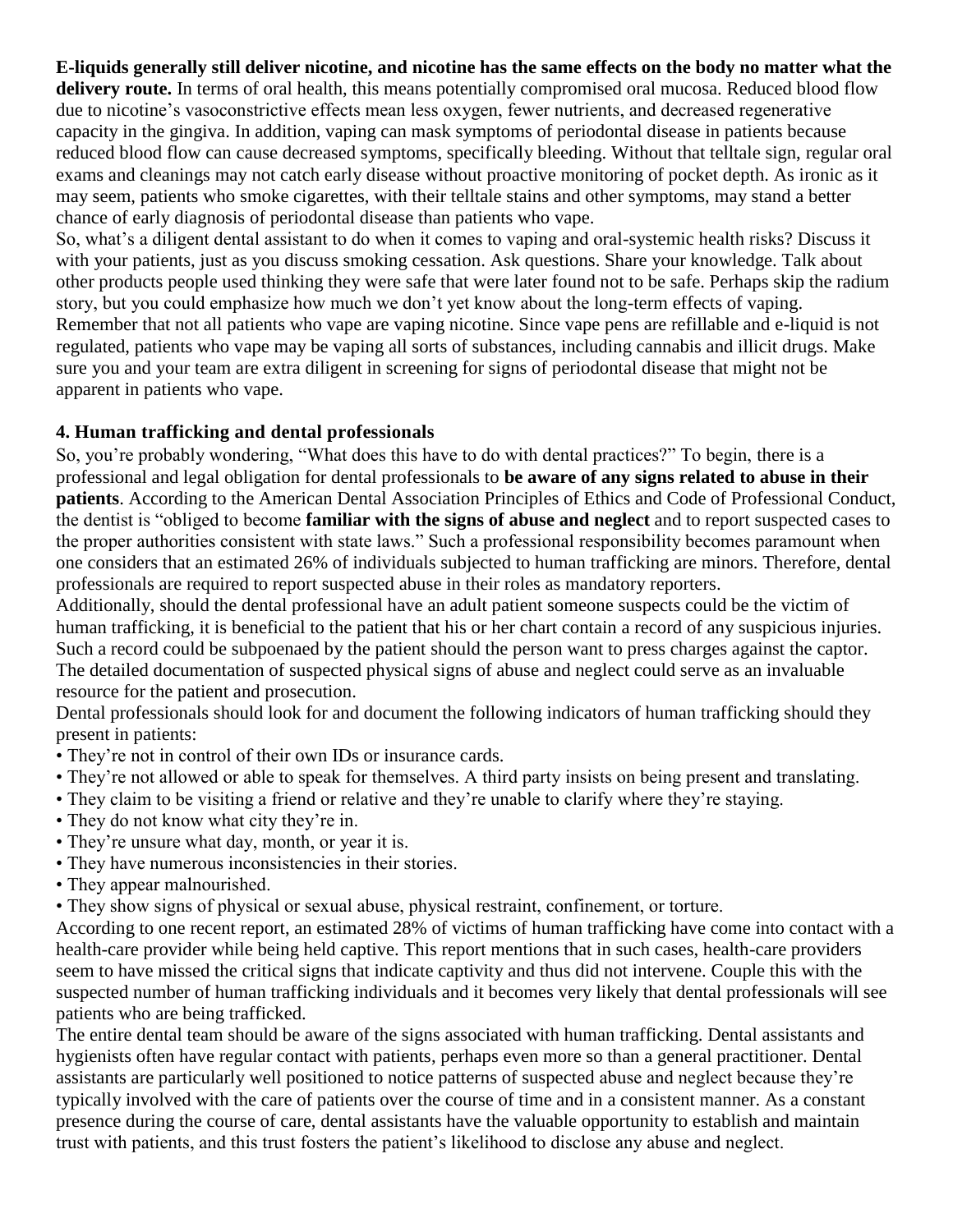## **E-liquids generally still deliver nicotine, and nicotine has the same effects on the body no matter what the**

**delivery route.** In terms of oral health, this means potentially compromised oral mucosa. Reduced blood flow due to nicotine's vasoconstrictive effects mean less oxygen, fewer nutrients, and decreased regenerative capacity in the gingiva. In addition, vaping can mask symptoms of periodontal disease in patients because reduced blood flow can cause decreased symptoms, specifically bleeding. Without that telltale sign, regular oral exams and cleanings may not catch early disease without proactive monitoring of pocket depth. As ironic as it may seem, patients who smoke cigarettes, with their telltale stains and other symptoms, may stand a better chance of early diagnosis of periodontal disease than patients who vape.

So, what's a diligent dental assistant to do when it comes to vaping and oral-systemic health risks? Discuss it with your patients, just as you discuss smoking cessation. Ask questions. Share your knowledge. Talk about other products people used thinking they were safe that were later found not to be safe. Perhaps skip the radium story, but you could emphasize how much we don't yet know about the long-term effects of vaping. Remember that not all patients who vape are vaping nicotine. Since vape pens are refillable and e-liquid is not regulated, patients who vape may be vaping all sorts of substances, including cannabis and illicit drugs. Make sure you and your team are extra diligent in screening for signs of periodontal disease that might not be apparent in patients who vape.

#### **4. Human trafficking and dental professionals**

So, you're probably wondering, "What does this have to do with dental practices?" To begin, there is a professional and legal obligation for dental professionals to **be aware of any signs [related](http://www.rdhmag.com/articles/print/volume-37/issue-4/contents/mandated-reporting.html) to abuse in their [patients](http://www.rdhmag.com/articles/print/volume-37/issue-4/contents/mandated-reporting.html)**. According to the American Dental Association Principles of Ethics and Code of Professional Conduct, the dentist is "obliged to become **[familiar](http://www.dentistryiq.com/articles/2014/04/dental-professionals-are-important-allies-against-child-abuse.html) with the signs of abuse and neglect** and to report suspected cases to the proper authorities consistent with state laws." Such a professional responsibility becomes paramount when one considers that an estimated 26% of individuals subjected to human trafficking are minors. Therefore, dental professionals are required to report suspected abuse in their roles as mandatory reporters.

Additionally, should the dental professional have an adult patient someone suspects could be the victim of human trafficking, it is beneficial to the patient that his or her chart contain a record of any suspicious injuries. Such a record could be subpoenaed by the patient should the person want to press charges against the captor. The detailed documentation of suspected physical signs of abuse and neglect could serve as an invaluable resource for the patient and prosecution.

Dental professionals should look for and document the following indicators of human trafficking should they present in patients:

- They're not in control of their own IDs or insurance cards.
- They're not allowed or able to speak for themselves. A third party insists on being present and translating.
- They claim to be visiting a friend or relative and they're unable to clarify where they're staying.
- They do not know what city they're in.
- They're unsure what day, month, or year it is.
- They have numerous inconsistencies in their stories.
- They appear malnourished.
- They show signs of physical or sexual abuse, physical restraint, confinement, or torture.

According to one recent report, an estimated 28% of victims of human trafficking have come into contact with a health-care provider while being held captive. This report mentions that in such cases, health-care providers seem to have missed the critical signs that indicate captivity and thus did not intervene. Couple this with the suspected number of human trafficking individuals and it becomes very likely that dental professionals will see patients who are being trafficked.

The entire dental team should be aware of the signs associated with human trafficking. Dental assistants and hygienists often have regular contact with patients, perhaps even more so than a general practitioner. Dental assistants are particularly well positioned to notice patterns of suspected abuse and neglect because they're typically involved with the care of patients over the course of time and in a consistent manner. As a constant presence during the course of care, dental assistants have the valuable opportunity to establish and maintain trust with patients, and this trust fosters the patient's likelihood to disclose any abuse and neglect.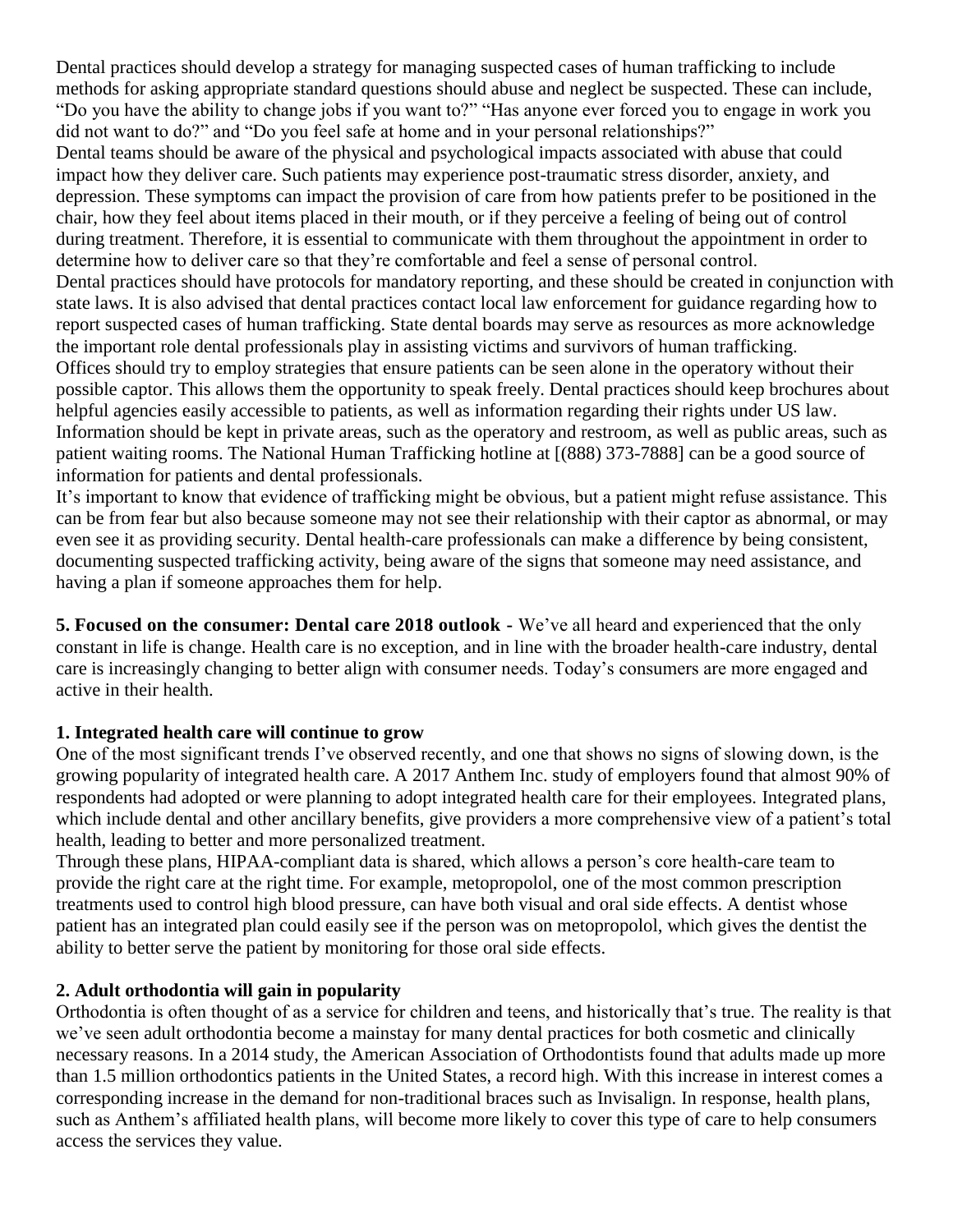Dental practices should develop a strategy for managing suspected cases of human trafficking to include methods for asking appropriate standard questions should abuse and neglect be suspected. These can include, "Do you have the ability to change jobs if you want to?" "Has anyone ever forced you to engage in work you did not want to do?" and "Do you feel safe at home and in your personal relationships?"

Dental teams should be aware of the physical and psychological impacts associated with abuse that could impact how they deliver care. Such patients may experience post-traumatic stress disorder, anxiety, and depression. These symptoms can impact the provision of care from how patients prefer to be positioned in the chair, how they feel about items placed in their mouth, or if they perceive a feeling of being out of control during treatment. Therefore, it is essential to communicate with them throughout the appointment in order to determine how to deliver care so that they're comfortable and feel a sense of personal control. Dental practices should have protocols for mandatory reporting, and these should be created in conjunction with state laws. It is also advised that dental practices contact local law enforcement for guidance regarding how to report suspected cases of human trafficking. State dental boards may serve as resources as more acknowledge the important role dental professionals play in assisting victims and survivors of human trafficking. Offices should try to employ strategies that ensure patients can be seen alone in the operatory without their possible captor. This allows them the opportunity to speak freely. Dental practices should keep brochures about helpful agencies easily accessible to patients, as well as information regarding their rights under US law. Information should be kept in private areas, such as the operatory and restroom, as well as public areas, such as patient waiting rooms. The National Human Trafficking hotline at [(888) 373-7888] can be a good source of information for patients and dental professionals.

It's important to know that evidence of trafficking might be obvious, but a patient might refuse assistance. This can be from fear but also because someone may not see their relationship with their captor as abnormal, or may even see it as providing security. Dental health-care professionals can make a difference by being consistent, documenting suspected trafficking activity, being aware of the signs that someone may need assistance, and having a plan if someone approaches them for help.

**5. Focused on the consumer: Dental care 2018 outlook -** We've all heard and experienced that the only constant in life is change. Health care is no exception, and in line with the broader health-care industry, dental care is increasingly changing to better align with consumer needs. Today's consumers are more engaged and active in their health.

## **1. Integrated health care will continue to grow**

One of the most significant trends I've observed recently, and one that shows no signs of slowing down, is the growing popularity of integrated health care. A 2017 Anthem Inc. study of employers found that almost 90% of respondents had adopted or were planning to adopt integrated health care for their employees. Integrated plans, which include dental and other ancillary benefits, give providers a more comprehensive view of a patient's total health, leading to better and more personalized treatment.

Through these plans, [HIPAA-compliant](http://www.dentistryiq.com/articles/2017/06/emails-texts-and-hipaa-7-rules-that-every-dentist-needs-to-know.html) data is shared, which allows a person's core health-care team to provide the right care at the right time. For example, metopropolol, one of the most common prescription treatments used to control high blood pressure, can have both visual and oral side effects. A dentist whose patient has an integrated plan could easily see if the person was on metopropolol, which gives the dentist the ability to better serve the patient by monitoring for those oral side effects.

## **2. Adult orthodontia will gain in popularity**

Orthodontia is often thought of as a service for children and teens, and historically that's true. The reality is that we've seen adult [orthodontia](http://www.dentistryiq.com/articles/2016/09/clear-aligners-versus-traditional-braces-4-benefits-for-adult-orthodontic-patients.html) become a mainstay for many dental practices for both cosmetic and clinically necessary reasons. In a 2014 [study,](https://health.usnews.com/wellness/articles/2016-07-27/braces-for-adults-are-they-right-for-you) the American Association of Orthodontists found that adults made up more than 1.5 million orthodontics patients in the United States, a record high. With this increase in interest comes a corresponding increase in the demand for non-traditional braces such as Invisalign. In response, health plans, such as Anthem's affiliated health plans, will become more likely to cover this type of care to help consumers access the services they value.